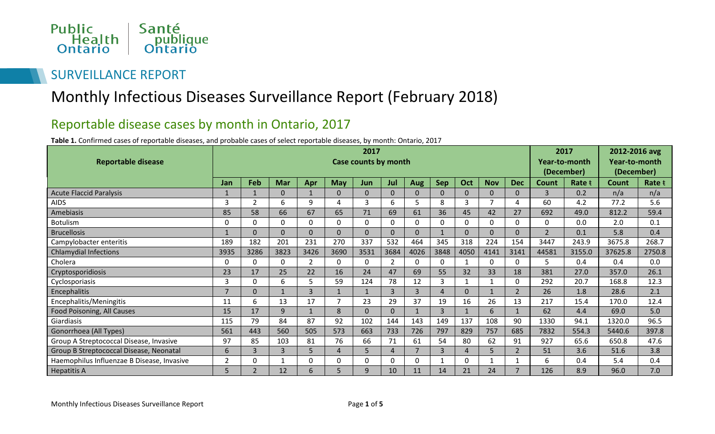

## SURVEILLANCE REPORT

## Monthly Infectious Diseases Surveillance Report (February 2018)

## Reportable disease cases by month in Ontario, 2017

**Table 1.** Confirmed cases of reportable diseases, and probable cases of select reportable diseases, by month: Ontario, 2017

|                                            | 2017           |                |                |                |            |                      |                |                |            |                |              |                |                | 2017   |            | 2012-2016 avg |  |
|--------------------------------------------|----------------|----------------|----------------|----------------|------------|----------------------|----------------|----------------|------------|----------------|--------------|----------------|----------------|--------|------------|---------------|--|
| <b>Reportable disease</b>                  |                |                |                |                |            | Case counts by month |                |                |            |                |              |                | Year-to-month  |        |            | Year-to-month |  |
|                                            |                |                |                |                |            |                      |                |                |            |                |              |                | (December)     |        | (December) |               |  |
|                                            | Jan            | Feb            | <b>Mar</b>     | Apr            | <b>May</b> | Jun                  | Jul            | Aug            | <b>Sep</b> | Oct            | <b>Nov</b>   | <b>Dec</b>     | Count          | Rate t | Count      | Rate t        |  |
| <b>Acute Flaccid Paralysis</b>             |                |                | $\mathbf{0}$   |                | $\Omega$   | $\Omega$             | $\Omega$       | $\Omega$       | $\Omega$   | $\Omega$       | $\Omega$     | $\overline{0}$ | 3              | 0.2    | n/a        | n/a           |  |
| <b>AIDS</b>                                | 3              |                | 6              | 9              |            | 3                    | 6              | 5              | 8          | 3              | 7            | 4              | 60             | 4.2    | 77.2       | 5.6           |  |
| Amebiasis                                  | 85             | 58             | 66             | 67             | 65         | 71                   | 69             | 61             | 36         | 45             | 42           | 27             | 692            | 49.0   | 812.2      | 59.4          |  |
| <b>Botulism</b>                            | 0              | $\Omega$       | $\mathbf 0$    | $\Omega$       | $\Omega$   | $\mathbf 0$          | $\mathbf 0$    | $\mathbf 0$    | 0          | $\mathbf 0$    | $\mathbf 0$  | $\mathbf 0$    | 0              | 0.0    | 2.0        | 0.1           |  |
| <b>Brucellosis</b>                         |                |                | $\mathbf{0}$   | $\Omega$       | $\Omega$   | $\mathbf{0}$         | $\Omega$       | $\mathbf{0}$   |            | $\mathbf{0}$   | $\Omega$     | $\mathbf{0}$   | $\overline{2}$ | 0.1    | 5.8        | 0.4           |  |
| Campylobacter enteritis                    | 189            | 182            | 201            | 231            | 270        | 337                  | 532            | 464            | 345        | 318            | 224          | 154            | 3447           | 243.9  | 3675.8     | 268.7         |  |
| <b>Chlamydial Infections</b>               | 3935           | 3286           | 3823           | 3426           | 3690       | 3531                 | 3684           | 4026           | 3848       | 4050           | 4141         | 3141           | 44581          | 3155.0 | 37625.8    | 2750.8        |  |
| Cholera                                    | 0              | $\Omega$       | $\mathbf 0$    | $\overline{2}$ | 0          | 0                    | $\overline{2}$ | $\mathbf 0$    | $\Omega$   | $\mathbf{1}$   | 0            | 0              | 5.             | 0.4    | 0.4        | 0.0           |  |
| Cryptosporidiosis                          | 23             | 17             | 25             | 22             | 16         | 24                   | 47             | 69             | 55         | 32             | 33           | 18             | 381            | 27.0   | 357.0      | 26.1          |  |
| Cyclosporiasis                             | 3              | O              | 6              | 5              | 59         | 124                  | 78             | 12             | 3          | 1              | $\mathbf 1$  | 0              | 292            | 20.7   | 168.8      | 12.3          |  |
| Encephalitis                               | $\overline{7}$ | $\Omega$       |                | 3              |            | $\mathbf{1}$         | $\overline{3}$ | $\overline{3}$ | 4          | $\overline{0}$ | $\mathbf{1}$ | $\overline{2}$ | 26             | 1.8    | 28.6       | 2.1           |  |
| Encephalitis/Meningitis                    | 11             | 6              | 13             | 17             |            | 23                   | 29             | 37             | 19         | 16             | 26           | 13             | 217            | 15.4   | 170.0      | 12.4          |  |
| Food Poisoning, All Causes                 | 15             | 17             | 9              |                | 8          | $\mathbf 0$          | $\mathbf{0}$   | $\mathbf{1}$   | 3          | $\mathbf{1}$   | 6            | $1\,$          | 62             | 4.4    | 69.0       | 5.0           |  |
| Giardiasis                                 | 115            | 79             | 84             | 87             | 92         | 102                  | 144            | 143            | 149        | 137            | 108          | 90             | 1330           | 94.1   | 1320.0     | 96.5          |  |
| Gonorrhoea (All Types)                     | 561            | 443            | 560            | 505            | 573        | 663                  | 733            | 726            | 797        | 829            | 757          | 685            | 7832           | 554.3  | 5440.6     | 397.8         |  |
| Group A Streptococcal Disease, Invasive    | 97             | 85             | 103            | 81             | 76         | 66                   | 71             | 61             | 54         | 80             | 62           | 91             | 927            | 65.6   | 650.8      | 47.6          |  |
| Group B Streptococcal Disease, Neonatal    | 6              | 3              | $\overline{3}$ | 5              | 4          | 5                    | $\overline{4}$ | $\overline{7}$ | 3          | $\overline{4}$ | 5            | $\overline{2}$ | 51             | 3.6    | 51.6       | 3.8           |  |
| Haemophilus Influenzae B Disease, Invasive | 2              |                |                | 0              | 0          | 0                    | $\Omega$       | $\mathbf 0$    |            | 0              |              |                | 6              | 0.4    | 5.4        | 0.4           |  |
| <b>Hepatitis A</b>                         | 5              | $\overline{2}$ | 12             | 6              |            | 9                    | 10             | 11             | 14         | 21             | 24           | $\overline{7}$ | 126            | 8.9    | 96.0       | 7.0           |  |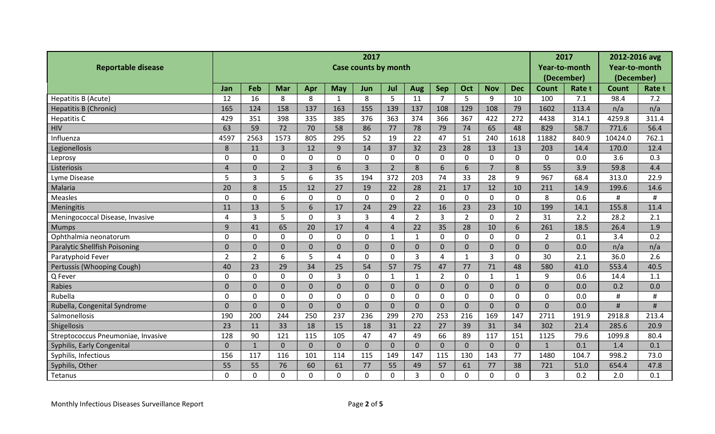| <b>Reportable disease</b>          | 2017<br><b>Case counts by month</b> |                |                |                |              |                |                |                |                |                |                |                |                | 2017<br>Year-to-month<br>(December) |         | 2012-2016 avg<br>Year-to-month<br>(December) |  |
|------------------------------------|-------------------------------------|----------------|----------------|----------------|--------------|----------------|----------------|----------------|----------------|----------------|----------------|----------------|----------------|-------------------------------------|---------|----------------------------------------------|--|
|                                    | Jan                                 | Feb            | Mar            | Apr            | <b>May</b>   | Jun            | Jul            | Aug            | Sep            | Oct            | <b>Nov</b>     | <b>Dec</b>     | <b>Count</b>   | Rate t                              | Count   | Rate t                                       |  |
| Hepatitis B (Acute)                | 12                                  | 16             | 8              | 8              | 1            | 8              | 5              | 11             | $\overline{7}$ | 5              | 9              | 10             | 100            | 7.1                                 | 98.4    | 7.2                                          |  |
| <b>Hepatitis B (Chronic)</b>       | 165                                 | 124            | 158            | 137            | 163          | 155            | 139            | 137            | 108            | 129            | 108            | 79             | 1602           | 113.4                               | n/a     | n/a                                          |  |
| <b>Hepatitis C</b>                 | 429                                 | 351            | 398            | 335            | 385          | 376            | 363            | 374            | 366            | 367            | 422            | 272            | 4438           | 314.1                               | 4259.8  | 311.4                                        |  |
| <b>HIV</b>                         | 63                                  | 59             | 72             | 70             | 58           | 86             | 77             | 78             | 79             | 74             | 65             | 48             | 829            | 58.7                                | 771.6   | 56.4                                         |  |
| Influenza                          | 4597                                | 2563           | 1573           | 805            | 295          | 52             | 19             | 22             | 47             | 51             | 240            | 1618           | 11882          | 840.9                               | 10424.0 | 762.1                                        |  |
| Legionellosis                      | 8                                   | 11             | $\overline{3}$ | 12             | 9            | 14             | 37             | 32             | 23             | 28             | 13             | 13             | 203            | 14.4                                | 170.0   | 12.4                                         |  |
| Leprosy                            | $\mathbf 0$                         | $\mathbf{0}$   | $\mathbf 0$    | $\overline{0}$ | $\mathbf{0}$ | 0              | $\mathbf 0$    | $\mathbf 0$    | $\mathbf 0$    | $\mathbf 0$    | $\mathbf 0$    | $\mathbf 0$    | $\overline{0}$ | 0.0                                 | 3.6     | 0.3                                          |  |
| Listeriosis                        | $\boldsymbol{\Lambda}$              | $\Omega$       | $\overline{2}$ | $\overline{3}$ | 6            | $\overline{3}$ | $\overline{2}$ | 8              | 6              | 6              | $\overline{7}$ | 8              | 55             | 3.9                                 | 59.8    | 4.4                                          |  |
| Lyme Disease                       | 5                                   | $\overline{3}$ | 5              | 6              | 35           | 194            | 372            | 203            | 74             | 33             | 28             | 9              | 967            | 68.4                                | 313.0   | 22.9                                         |  |
| Malaria                            | 20                                  | 8              | 15             | 12             | 27           | 19             | 22             | 28             | 21             | 17             | 12             | 10             | 211            | 14.9                                | 199.6   | 14.6                                         |  |
| <b>Measles</b>                     | $\Omega$                            | $\Omega$       | 6              | $\Omega$       | $\Omega$     | 0              | $\Omega$       | $\overline{2}$ | $\Omega$       | $\mathbf 0$    | $\Omega$       | $\mathbf{0}$   | 8              | 0.6                                 | #       | #                                            |  |
| Meningitis                         | 11                                  | 13             | 5              | 6              | 17           | 24             | 29             | 22             | 16             | 23             | 23             | 10             | 199            | 14.1                                | 155.8   | 11.4                                         |  |
| Meningococcal Disease, Invasive    | 4                                   | 3              | 5              | $\Omega$       | 3            | 3              | 4              | $\overline{2}$ | $\overline{3}$ | $\overline{2}$ | $\mathbf 0$    | $\overline{2}$ | 31             | 2.2                                 | 28.2    | 2.1                                          |  |
| <b>Mumps</b>                       | 9                                   | 41             | 65             | 20             | 17           | $\overline{4}$ | $\overline{4}$ | 22             | 35             | 28             | 10             | 6              | 261            | 18.5                                | 26.4    | 1.9                                          |  |
| Ophthalmia neonatorum              | $\mathbf 0$                         | $\mathbf 0$    | $\mathbf 0$    | $\mathbf 0$    | $\mathbf 0$  | 0              | $\mathbf{1}$   | $\mathbf{1}$   | $\mathbf 0$    | $\mathbf 0$    | $\mathbf 0$    | $\mathbf{0}$   | $\overline{2}$ | 0.1                                 | 3.4     | 0.2                                          |  |
| Paralytic Shellfish Poisoning      | $\Omega$                            | $\overline{0}$ | $\mathbf{0}$   | $\overline{0}$ | 0            | $\mathbf{0}$   | $\Omega$       | $\mathbf{0}$   | $\mathbf{0}$   | $\mathbf{0}$   | $\overline{0}$ | $\mathbf{0}$   | $\mathbf{0}$   | 0.0                                 | n/a     | n/a                                          |  |
| Paratyphoid Fever                  | $\overline{2}$                      | $\overline{2}$ | 6              | 5              | 4            | 0              | $\mathbf 0$    | 3              | 4              | $\mathbf{1}$   | $\overline{3}$ | $\mathbf{0}$   | 30             | 2.1                                 | 36.0    | 2.6                                          |  |
| Pertussis (Whooping Cough)         | 40                                  | 23             | 29             | 34             | 25           | 54             | 57             | 75             | 47             | 77             | 71             | 48             | 580            | 41.0                                | 553.4   | 40.5                                         |  |
| Q Fever                            | $\Omega$                            | $\Omega$       | $\mathbf 0$    | $\Omega$       | 3            | $\mathbf 0$    | $\mathbf{1}$   | $\mathbf{1}$   | $\overline{2}$ | $\mathbf 0$    | $\mathbf{1}$   | $\mathbf{1}$   | 9              | 0.6                                 | 14.4    | 1.1                                          |  |
| Rabies                             | $\overline{0}$                      | $\overline{0}$ | $\mathbf 0$    | $\overline{0}$ | 0            | $\overline{0}$ | $\overline{0}$ | $\overline{0}$ | $\mathbf{0}$   | $\mathbf 0$    | $\overline{0}$ | $\mathbf{0}$   | $\overline{0}$ | 0.0                                 | 0.2     | 0.0                                          |  |
| Rubella                            | $\overline{0}$                      | $\Omega$       | $\mathbf 0$    | $\Omega$       | $\Omega$     | $\mathbf 0$    | $\mathbf 0$    | $\mathbf 0$    | $\mathbf 0$    | $\mathbf{0}$   | $\mathbf 0$    | $\mathbf{0}$   | $\Omega$       | 0.0                                 | #       | #                                            |  |
| Rubella, Congenital Syndrome       | $\Omega$                            | $\Omega$       | $\mathbf 0$    | $\Omega$       | 0            | $\mathbf 0$    | $\Omega$       | $\mathbf 0$    | $\Omega$       | $\mathbf{0}$   | $\mathbf{0}$   | $\overline{0}$ | $\Omega$       | 0.0                                 | #       | #                                            |  |
| Salmonellosis                      | 190                                 | 200            | 244            | 250            | 237          | 236            | 299            | 270            | 253            | 216            | 169            | 147            | 2711           | 191.9                               | 2918.8  | 213.4                                        |  |
| Shigellosis                        | 23                                  | 11             | 33             | 18             | 15           | 18             | 31             | 22             | 27             | 39             | 31             | 34             | 302            | 21.4                                | 285.6   | 20.9                                         |  |
| Streptococcus Pneumoniae, Invasive | 128                                 | 90             | 121            | 115            | 105          | 47             | 47             | 49             | 66             | 89             | 117            | 151            | 1125           | 79.6                                | 1099.8  | 80.4                                         |  |
| Syphilis, Early Congenital         | $\overline{0}$                      | $\mathbf{1}$   | $\mathbf{0}$   | $\mathbf{0}$   | $\Omega$     | $\mathbf{0}$   | $\Omega$       | $\mathbf{0}$   | $\Omega$       | $\mathbf{0}$   | $\overline{0}$ | $\mathbf{0}$   | $\mathbf{1}$   | 0.1                                 | 1.4     | 0.1                                          |  |
| Syphilis, Infectious               | 156                                 | 117            | 116            | 101            | 114          | 115            | 149            | 147            | 115            | 130            | 143            | 77             | 1480           | 104.7                               | 998.2   | 73.0                                         |  |
| Syphilis, Other                    | 55                                  | 55             | 76             | 60             | 61           | 77             | 55             | 49             | 57             | 61             | 77             | 38             | 721            | 51.0                                | 654.4   | 47.8                                         |  |
| Tetanus                            | $\Omega$                            | $\Omega$       | $\overline{0}$ | 0              | $\Omega$     | 0              | $\overline{0}$ | 3              | $\Omega$       | $\mathbf 0$    | $\mathbf 0$    | $\mathbf{0}$   | 3              | 0.2                                 | 2.0     | 0.1                                          |  |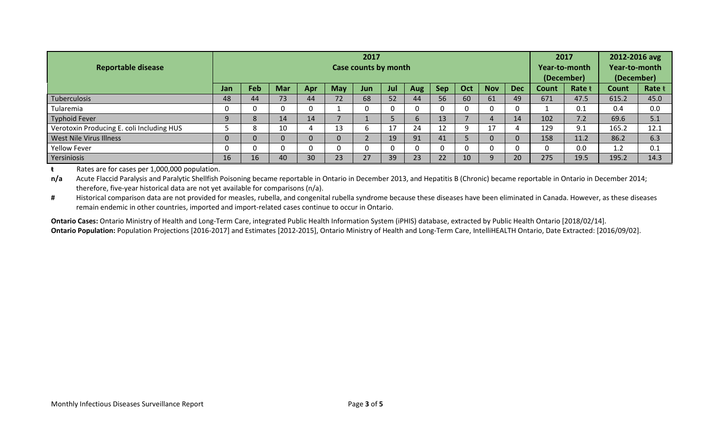| <b>Reportable disease</b>                 | 2017<br>Case counts by month |     |            |          |            |     |     |            |     |          |            |            | 2017<br>Year-to-month<br>(December) |        | 2012-2016 avg<br>Year-to-month<br>(December) |        |
|-------------------------------------------|------------------------------|-----|------------|----------|------------|-----|-----|------------|-----|----------|------------|------------|-------------------------------------|--------|----------------------------------------------|--------|
|                                           | <b>Jan</b>                   | Feb | <b>Mar</b> | Apr      | <b>May</b> | Jun | Jul | <b>Aug</b> | Sep | Oct      | <b>Nov</b> | <b>Dec</b> | Count                               | Rate t | Count                                        | Rate t |
| Tuberculosis                              | 48                           | 44  | 73         | 44       | 72         | 68  | 52  | 44         | 56  | 60       | 61         | 49         | 671                                 | 47.5   | 615.2                                        | 45.0   |
| Tularemia                                 | 0                            |     |            |          |            | 0   |     | 0          |     | $\Omega$ | 0          | 0          |                                     | 0.1    | 0.4                                          | 0.0    |
| <b>Typhoid Fever</b>                      | 9                            |     | 14         | 14       |            |     |     | 6          | 13  |          |            | 14         | 102                                 | 7.2    | 69.6                                         | 5.1    |
| Verotoxin Producing E. coli Including HUS |                              |     | 10         |          | 13         | b   | 17  | 24         | 12  | 9        | 17         |            | 129                                 | 9.1    | 165.2                                        | 12.1   |
| West Nile Virus Illness                   | 0                            |     |            | $\Omega$ |            |     | 19  | 91         | 41  |          |            | 0          | 158                                 | 11.2   | 86.2                                         | 6.3    |
| <b>Yellow Fever</b>                       | 0                            |     |            |          |            | 0   |     | 0          |     | $\Omega$ |            | $\Omega$   | $\Omega$                            | 0.0    | 1.2                                          | 0.1    |
| Yersiniosis                               | 16                           | 16  | 40         | 30       | 23         | 27  | 39  | 23         | 22  | 10       | n          | 20         | 275                                 | 19.5   | 195.2                                        | 14.3   |

**ŧ** Rates are for cases per 1,000,000 population.

n/a Acute Flaccid Paralysis and Paralytic Shellfish Poisoning became reportable in Ontario in December 2013, and Hepatitis B (Chronic) became reportable in Ontario in December 2014; therefore, five-year historical data are not yet available for comparisons (n/a).

# Historical comparison data are not provided for measles, rubella, and congenital rubella syndrome because these diseases have been eliminated in Canada. However, as these diseases remain endemic in other countries, imported and import-related cases continue to occur in Ontario.

**Ontario Cases:** Ontario Ministry of Health and Long-Term Care, integrated Public Health Information System (iPHIS) database, extracted by Public Health Ontario [2018/02/14]. **Ontario Population:** Population Projections [2016-2017] and Estimates [2012-2015], Ontario Ministry of Health and Long-Term Care, IntelliHEALTH Ontario, Date Extracted: [2016/09/02].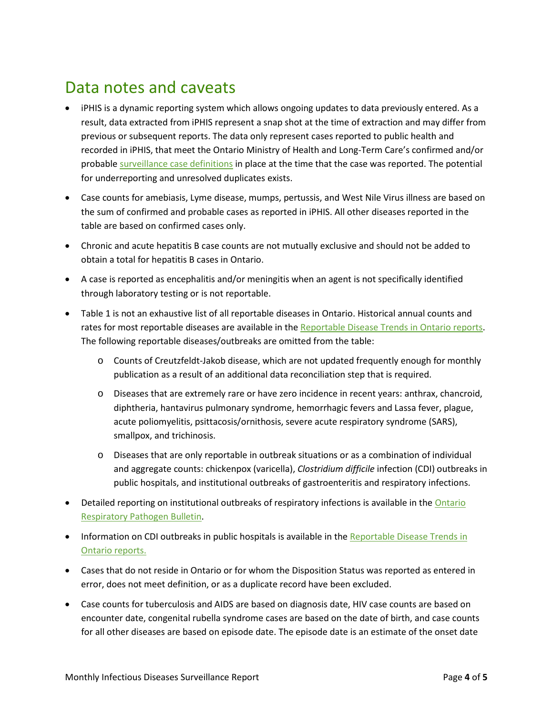## Data notes and caveats

- iPHIS is a dynamic reporting system which allows ongoing updates to data previously entered. As a result, data extracted from iPHIS represent a snap shot at the time of extraction and may differ from previous or subsequent reports. The data only represent cases reported to public health and recorded in iPHIS, that meet the Ontario Ministry of Health and Long-Term Care's confirmed and/or probable [surveillance case definitions](http://www.health.gov.on.ca/en/pro/programs/publichealth/oph_standards/infdispro.aspx) in place at the time that the case was reported. The potential for underreporting and unresolved duplicates exists.
- Case counts for amebiasis, Lyme disease, mumps, pertussis, and West Nile Virus illness are based on the sum of confirmed and probable cases as reported in iPHIS. All other diseases reported in the table are based on confirmed cases only.
- Chronic and acute hepatitis B case counts are not mutually exclusive and should not be added to obtain a total for hepatitis B cases in Ontario.
- A case is reported as encephalitis and/or meningitis when an agent is not specifically identified through laboratory testing or is not reportable.
- Table 1 is not an exhaustive list of all reportable diseases in Ontario. Historical annual counts and rates for most reportable diseases are available in th[e Reportable Disease Trends in Ontario reports.](http://www.publichealthontario.ca/en/BrowseByTopic/InfectiousDiseases/Pages/Reportable-Disease-Trends.aspx) The following reportable diseases/outbreaks are omitted from the table:
	- o Counts of Creutzfeldt-Jakob disease, which are not updated frequently enough for monthly publication as a result of an additional data reconciliation step that is required.
	- o Diseases that are extremely rare or have zero incidence in recent years: anthrax, chancroid, diphtheria, hantavirus pulmonary syndrome, hemorrhagic fevers and Lassa fever, plague, acute poliomyelitis, psittacosis/ornithosis, severe acute respiratory syndrome (SARS), smallpox, and trichinosis.
	- o Diseases that are only reportable in outbreak situations or as a combination of individual and aggregate counts: chickenpox (varicella), *Clostridium difficile* infection (CDI) outbreaks in public hospitals, and institutional outbreaks of gastroenteritis and respiratory infections.
- Detailed reporting on institutional outbreaks of respiratory infections is available in the Ontario [Respiratory Pathogen Bulletin.](http://www.publichealthontario.ca/en/ServicesAndTools/SurveillanceServices/Pages/Ontario-Respiratory-Virus-Bulletin.aspx)
- Information on CDI outbreaks in public hospitals is available in the Reportable Disease Trends in [Ontario reports.](http://www.publichealthontario.ca/en/BrowseByTopic/InfectiousDiseases/Pages/Reportable-Disease-Trends.aspx)
- Cases that do not reside in Ontario or for whom the Disposition Status was reported as entered in error, does not meet definition, or as a duplicate record have been excluded.
- Case counts for tuberculosis and AIDS are based on diagnosis date, HIV case counts are based on encounter date, congenital rubella syndrome cases are based on the date of birth, and case counts for all other diseases are based on episode date. The episode date is an estimate of the onset date